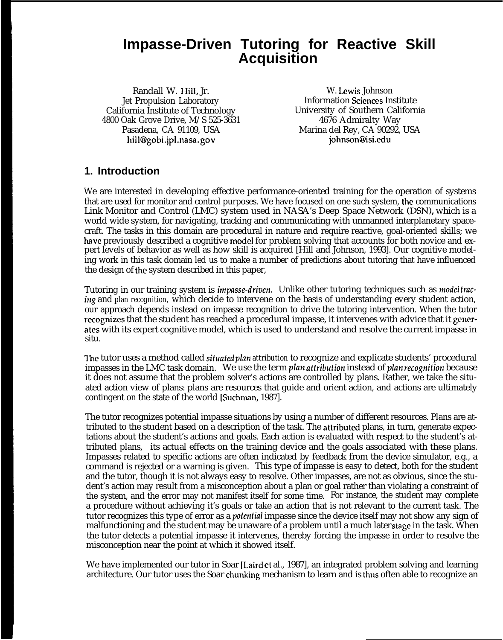# **Impasse-Driven Tutoring for Reactive Skill Acquisition**

Randall W. Hill, Jr. W. Lewis Johnson<br>Jet Propulsion Laboratory Metal information Sciences In Jet Propulsion Laboratory<br>
California Institute of Technology<br>
University of Southern Californ 4800 Oak Grove Drive,  $M/S$  525-3631 hill@gobi.jpl.nasa.gov

University of Southern California<br>4676 Admiralty Way Pasadena, CA 91109, USA Marina del Rey, CA 90292, USA<br>hill@gobi.jpl.nasa.gov hill@gobi.jpl.nasa.gov

## **1. Introduction**

We are interested in developing effective performance-oriented training for the operation of systems that are used for monitor and control purposes. We have focused on one such system, the communications Link Monitor and Control (LMC) system used in NASA's Deep Space Network (DSN), which is a world wide system, for navigating, tracking and communicating with unmanned interplanetary spacecraft. The tasks in this domain are procedural in nature and require reactive, goal-oriented skills; we have previously described a cognitive model for problem solving that accounts for both novice and expert levels of behavior as well as how skill is acquired [Hill and Johnson, 1993]. Our cognitive modeling work in this task domain led us to make a number of predictions about tutoring that have influenced the design of the system described in this paper,

Tutoring in our training system is *impasse-driven*. Unlike other tutoring techniques such as *modeltracing* and *plan recognition,* which decide to intervene on the basis of understanding every student action, our approach depends instead on impasse recognition to drive the tutoring intervention. When the tutor recognizes that the student has reached a procedural impasse, it intervenes with advice that it generates with its expert cognitive model, which is used to understand and resolve the current impasse in situ.

I"he tutor uses a method called sifuakd *plan attribution* to recognize and explicate students' procedural impasses in the LMC task domain. We use the term *plan attribution* instead of *plan recognition* because it does not assume that the problem solver's actions are controlled by plans. Rather, we take the situated action view of plans: plans are resources that guide and orient action, and actions are ultimately contingent on the state of the world [Suchman, 1987].

The tutor recognizes potential impasse situations by using a number of different resources. Plans are attributed to the student based on a description of the task. The attributed plans, in turn, generate expectations about the student's actions and goals. Each action is evaluated with respect to the student's attributed plans, its actual effects on the training device and the goals associated with these plans. Impasses related to specific actions are often indicated by feedback from the device simulator, e.g., a command is rejected or a warning is given. This type of impasse is easy to detect, both for the student and the tutor, though it is not always easy to resolve. Other impasses, are not as obvious, since the student's action may result from a misconception about a plan or goal rather than violating a constraint of the system, and the error may not manifest itself for some time. For instance, the student may complete a procedure without achieving it's goals or take an action that is not relevant to the current task. The tutor recognizes this type of error as a polentiai impasse since the device itself may not show any sign of malfunctioning and the student may be unaware of a problem until a much later stage in the task. When the tutor detects a potential impasse it intervenes, thereby forcing the impasse in order to resolve the misconception near the point at which it showed itself.

We have implemented our tutor in Soar [Laird et al., 1987], an integrated problem solving and learning architecture. Our tutor uses the Soar chunking mechanism to learn and is thus often able to recognize an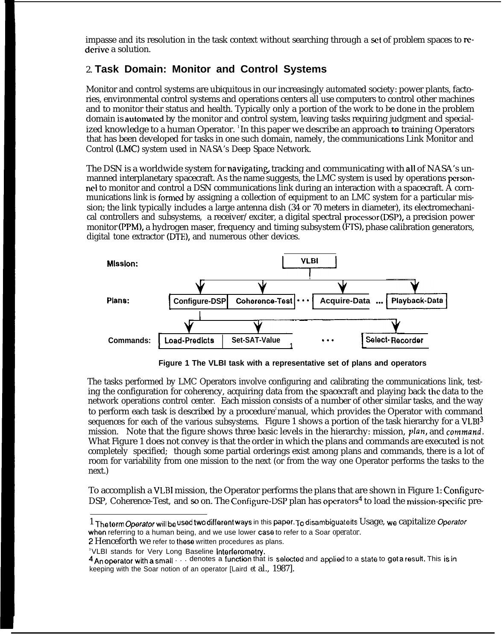impasse and its resolution in the task context without searching through a set of problem spaces to rederive a solution.

## 2. **Task Domain: Monitor and Control Systems**

Monitor and control systems are ubiquitous in our increasingly automated society: power plants, factories, environmental control systems and operations centers all use computers to control other machines and to monitor their status and health. Typically only a portion of the work to be done in the problem domain is automated by the monitor and control system, leaving tasks requiring judgment and specialized knowledge to a human Operator. <sup>1</sup>In this paper we describe an approach to training Operators that has been developed for tasks in one such domain, namely, the communications Link Monitor and Control (LMC) system used in NASA's Deep Space Network.

The DSN is a worldwide system for navigating, tracking and communicating with all of NASA's unmanned interplanetary spacecraft. As the name suggests, the LMC system is used by operations personnel to monitor and control a DSN communications link during an interaction with a spacecraft. A cornmunications link is formed by assigning a collection of equipment to an LMC system for a particular mission; the link typically includes a large antenna dish (34 or 70 meters in diameter), its electromechanical controllers and subsystems, a receiver/exciter, a digital spectral processor (DSP), a precision power digital tone extractor (DTE), and numerous other devices.



**Figure 1 The VLBI task with a representative set of plans and operators**

The tasks performed by LMC Operators involve configuring and calibrating the communications link, testing the configuration for coherency, acquiring data from the spacecraft and playing back the data to the network operations control center. Each mission consists of a number of other similar tasks, and the way to perform each task is described by a procedure<sup>2</sup>manual, which provides the Operator with command sequences for each of the various subsystems. Figure 1 shows a portion of the task hierarchy for a VLB13 mission. Note that the figure shows three basic levels in the hierarchy: mission, plan, and command. What Figure 1 does not convey is that the order in which the plans and commands are executed is not completely specified; though some partial orderings exist among plans and commands, there is a lot of room for variability from one mission to the next (or from the way one Operator performs the tasks to the next.)

To accomplish a VLBI mission, the Operator performs the plans that are shown in Figure 1: Configure-DSP, Coherence-Test, and so on. The Configure-DSP plan has operators<sup>4</sup> to load the mission-specific pre-

<sup>1</sup> The term Operator will be used two different ways in this paper. To disambiguate its Usage, we capitalize Operator when referring to a human being, and we use lower case to refer to a Soar *operator*.

*<sup>2</sup>* Henceforth we refer to these written procedures as plans.

<sup>&</sup>lt;sup>3</sup>VLBI stands for Very Long Baseline Interferometry.

<sup>4</sup> An operator with a small . . . denotes a function that is selected and applied to a state to get a result. This is in keeping with the Soar notion of an operator [Laird *et* al., 1987].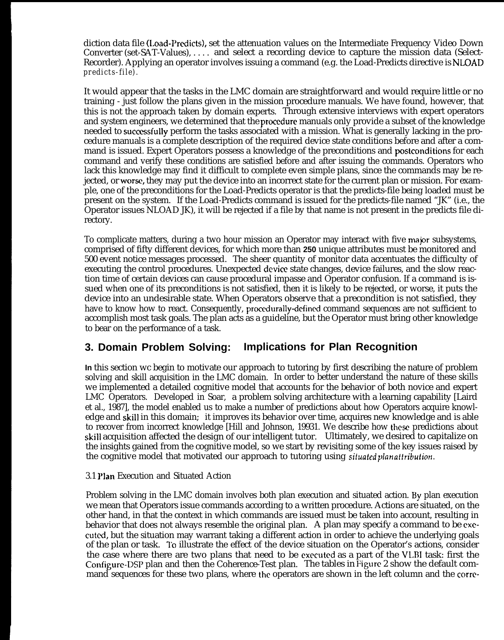diction data file (Load-Predicts), set the attenuation values on the Intermediate Frequency Video Down Converter (set-SAT-Values), . . . . and select a recording device to capture the mission data (Select-Recorder). Applying an operator involves issuing a command (e.g. the Load-Predicts directive is NLOAD *predicts-file).*

It would appear that the tasks in the LMC domain are straightforward and would require little or no training - just follow the plans given in the mission procedure manuals. We have found, however, that this is not the approach taken by domain experts. Through extensive interviews with expert operators and system engineers, we determined that the procedure manuals only provide a subset of the knowledge needed to successfully perform the tasks associated with a mission. What is generally lacking in the procedure manuals is a complete description of the required device state conditions before and after a command is issued. Expert Operators possess a knowledge of the preconditions and postconditions for each command and verify these conditions are satisfied before and after issuing the commands. Operators who lack this knowledge may find it difficult to complete even simple plans, since the commands may be rejected, or *worw,* they may put the device into an incorrect state for the current plan or mission. For example, one of the preconditions for the Load-Predicts operator is that the predicts-file being loaded must be present on the system. If the Load-Predicts command is issued for the predicts-file named "JK" (i.e., the Operator issues NLOAD JK), it will be rejected if a file by that name is not present in the predicts file directory.

To complicate matters, during a two hour mission an Operator may interact with five major subsystems, comprised of fifty different devices, for which more than **250** unique attributes must be monitored and 500 event notice messages processed. The sheer quantity of monitor data accentuates the difficulty of executing the control procedures. Unexpected device state changes, device failures, and the slow reaction time of certain devices can cause procedural impasse and Operator confusion. If a command is issued when one of its preconditions is not satisfied, then it is likely to be rejected, or worse, it puts the device into an undesirable state. When Operators observe that a precondition is not satisfied, they have to know how to react. Consequently, procedurally-defined command sequences are not sufficient to accomplish most task goals. The plan acts as a guideline, but the Operator must bring other knowledge to bear on the performance of a task.

## **3. Domain Problem Solving: Implications for Plan Recognition**

**In** this section wc begin to motivate our approach to tutoring by first describing the nature of problem solving and skill acquisition in the LMC domain. In order to better understand the nature of these skills we implemented a detailed cognitive model that accounts for the behavior of both novice and expert LMC Operators. Developed in Soar, a problem solving architecture with a learning capability [Laird et al., 1987], the model enabled us to make a number of predictions about how Operators acquire knowledge and skill in this domain; it improves its behavior over time, acquires new knowledge and is able to recover from incorrect knowledge [Hill and Johnson, 19931. We describe how these predictions about skill acquisition affected the design of our intelligent tutor. Ultimately, we desired to capitalize on the insights gained from the cognitive model, so we start by revisiting some of the key issues raised by the cognitive model that motivated our approach to tutoring using *situated planattribution*.

### 3.1 Plan Execution and Situated Action

Problem solving in the LMC domain involves both plan execution and situated action. By plan execution we mean that Operators issue commands according to a written procedure. Actions are situated, on the other hand, in that the context in which commands are issued must be taken into account, resulting in behavior that does not always resemble the original plan. A plan may specify a command to be executed, but the situation may warrant taking a different action in order to achieve the underlying goals of the plan or task. 1'o illustrate the effect of the device situation on the Operator's actions, consider the case where there are two plans that need to be exccutcd as a part of the VLIII task: first the Configure-DSP plan and then the Coherence-Test plan. The tables in Figure 2 show the default command sequences for these two plans, where the operators are shown in the left column and the corrc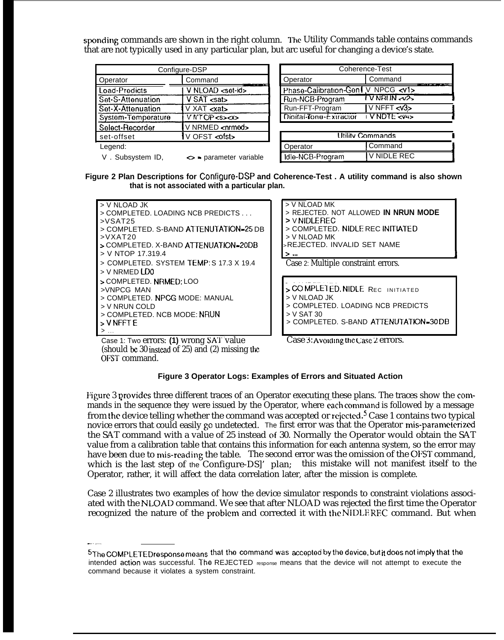sponding commands are shown in the right column. The Utility Commands table contains commands that are not typically used in any particular plan, but arc useful for changing a device's state.

|                                              | Configure-DSP                          | Coherence-Test         |                   |  |
|----------------------------------------------|----------------------------------------|------------------------|-------------------|--|
| Operator                                     | Command                                | Operator               | Command           |  |
| Load-Predicts                                | V NLOAD <set-id></set-id>              | Phase-Calibration-Gen  | V NPCG <          |  |
| Set-S-Attenuation                            | V SAT <sub>csat</sub>                  | Run-NCB-Program        | VNRUNZ            |  |
| Set-X-Attenuation<br>$V$ XAT $\ll$ at $>$    |                                        | Run-FFT-Program        | V NFFT <          |  |
| System-Temperature<br>V NT OP <s><x></x></s> |                                        | Dioital-Tone-Extractor | <b>VNDTE &lt;</b> |  |
| Select-Recorder                              | V NRMED <nrmed></nrmed>                |                        |                   |  |
| set-offset                                   | V OFST <ofst></ofst>                   |                        | Utility Commands  |  |
| Legend:                                      |                                        | Operator               | Command           |  |
| V. Subsystem ID.                             | $\leftrightarrow$ = parameter variable | Idle-NCB-Program       | V NIDI F F        |  |

| Coherence-Test                          |                  |  |  |  |
|-----------------------------------------|------------------|--|--|--|
| Operator                                | Command          |  |  |  |
| Phase-Calibration-Gent V NPCG <v1></v1> |                  |  |  |  |
| Run-NCB-Program                         | <b>TVNRINAX</b>  |  |  |  |
| Run-FFT-Program                         | $V$ NFFT $\ll 3$ |  |  |  |
| Digital-Tone-Extractor                  | IVNDTE cv4>      |  |  |  |
|                                         |                  |  |  |  |
| Hilitu Commande                         |                  |  |  |  |

| <b>Hility Commands</b> |             |  |  |  |
|------------------------|-------------|--|--|--|
| Operator<br>I Command  |             |  |  |  |
| Idle-NCB-Program       | V NIDLE REC |  |  |  |

**Figure 2 Plan Descriptions for Configuro-DSP and Coherence-Test . A utility command is also shown that is not associated with a particular plan.**

> V NLOAD MK



**>** V NIDLE REC > COMPLETED. NIDLE REC INITIATED > V NLOAD MK <sup>&</sup>gt;REJECTED. INVALID SET NAME > . . . **!** Case 2: Multiple constraint errors. ; <sup>60</sup> MPLEl ED. NIDLE REC INITIATE <sup>D</sup> > V NLOAD JK > COMPLETED. LOADING NCB PREDICTS > V SAT 30

> COMPLETED. S-BAND ATTENUTATION-30 DB

> REJECTED. NOT ALLOWED **IN NRUN MODE**

—. Case 1: Two errors: **(1)** wrong SAI' value (should be 30 instead of 25) and  $(2)$  missing the OFST command.

-.. —..

Case 3: Avoiding the Case  $2$  errors.

### **Figure 3 Operator Logs: Examples of Errors and Situated Action**

Figure 3 provides three different traces of an Operator executing these plans. The traces show the commands in the sequence they were issued by the Operator, where each command is followed by a message from the device telling whether the command was accepted or rejected.<sup>5</sup> Case 1 contains two typical novice errors that could easily go undetected. The first error was that the Operator mis-parameterized the SAT command with a value of 25 instead of 30. Normally the Operator would obtain the SAT value from a calibration table that contains this information for each antenna system, so the error may have been due to mis-reading the table. The second error was the omission of the OFST command, which is the last step of the Configure-DS]' plan; this mistake will not manifest itself to the Operator, rather, it will affect the data correlation later, after the mission is complete.

Case 2 illustrates two examples of how the device simulator responds to constraint violations associated with the NLOAD command. We see that after NLOAD was rejected the first time the Operator recognized the nature of the problem and corrected it with the NIDLEREC command. But when

<sup>5</sup>The COMPLETED response means that the command was accepted by the device, but it does not imply that the intended action was successful. The REJECTED response means that the device will not attempt to execute the command because it violates a system constraint.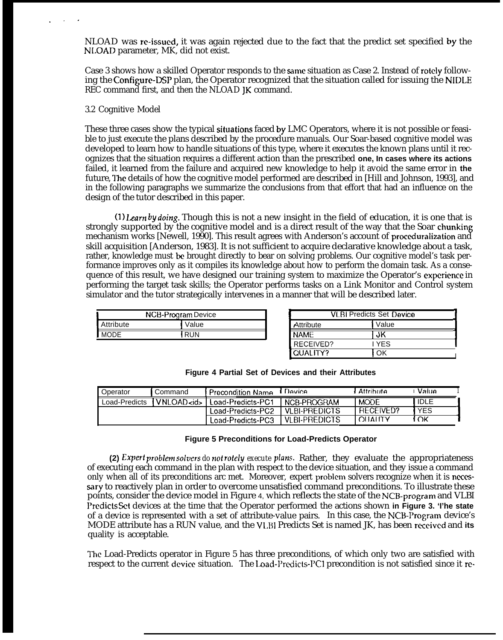NLOAD was re-issued, it was again rejected due to the fact that the predict set specified by the NLOAD parameter, MK, did not exist.

Case 3 shows how a skilled Operator responds to the same situation as Case 2. Instead of rotely following the Configure-DSP plan, the Operator recognized that the situation called for issuing the NIDLE REC command first, and then the NLOAD JK command.

#### 3.2 Cognitive Model

. . <sup>~</sup>

These three cases show the typical situations faced by LMC Operators, where it is not possible or feasible to just execute the plans described by the procedure manuals. Our Soar-based cognitive model was developed to learn how to handle situations of this type, where it executes the known plans until it recognizes that the situation requires a different action than the prescribed **one, In cases where its actions** failed, it learned from the failure and acquired new knowledge to help it avoid the same error in **the** future, The details of how the cognitive model performed are described in [Hill and Johnson, 1993], and in the following paragraphs we summarize the conclusions from that effort that had an influence on the design of the tutor described in this paper.

(1) *Learn by doing*. Though this is not a new insight in the field of education, it is one that is strongly supported by the cognitive model and is a direct result of the way that the Soar chunking mechanism works [Newell, 1990]. This result agrees with Anderson's account of proceduralization and skill acquisition [Anderson, 1983]. It is not sufficient to acquire declarative knowledge about a task, rather, knowledge must be brought directly to bear on solving problems. Our cognitive model's task performance improves only as it compiles its knowledge about how to perform the domain task. As a consequence of this result, we have designed our training system to maximize the Operator's cxpcricncc in performing the target task skills; the Operator performs tasks on a Link Monitor and Control system simulator and the tutor strategically intervenes in a manner that will be described later.

| NCB-Program Device |  |  |  |  |  |
|--------------------|--|--|--|--|--|
| Attribute<br>Value |  |  |  |  |  |
| MODE<br>RUN        |  |  |  |  |  |
|                    |  |  |  |  |  |

| VI BI Predicts Set Device |       |  |  |  |
|---------------------------|-------|--|--|--|
| Attribute                 | Value |  |  |  |
| <b>NAME</b><br>JK.        |       |  |  |  |
| RECEIVED?                 | I YFS |  |  |  |
| QUALITY?                  |       |  |  |  |

|  |  |  |  |  | <b>Figure 4 Partial Set of Devices and their Attributes</b> |
|--|--|--|--|--|-------------------------------------------------------------|
|--|--|--|--|--|-------------------------------------------------------------|

| Operator      | Command             | <b>Precondition Name</b> | Device         | l Attributa.     | <b>Value</b> |
|---------------|---------------------|--------------------------|----------------|------------------|--------------|
| Load-Predicts | <b>IVNLOAD</b> cid> | Load-Predicts-PC1        | NCB-PROGRAM    | <b>MODE</b>      | IDLE         |
|               |                     | Load-Predicts-PC2        | VI BI-PREDICTS | <b>RECEIVED?</b> | <b>YES</b>   |
|               |                     | Load-Predicts-PC3        | VI BI-PREDICTS | <b>DELATIO</b>   | . OK         |

#### **Figure 5 Preconditions for Load-Predicts Operator**

**(2) Expert problem solvers** *do not rofely execute plans.* Rather, they evaluate the appropriateness of executing each command in the plan with respect to the device situation, and they issue a command only when all of its preconditions arc met. Moreover, expert problcm solvers recognize when it is necessary to reactively plan in order to overcome unsatisfied command preconditions. To illustrate these points, consider the device model in Figure 4, which reflects the state of the NCB-program and VLBI Predicts Set devices at the time that the Operator performed the actions shown in Figure 3. 'I'he state of a device is represented with a set of attribute-value pairs. In this case, the NCB-Program device's MODE attribute has a RUN value, and the VI,BI Predicts Set is named JK, has been rcceivcd and **its** quality is acceptable.

The Load-Predicts operator in Figure 5 has three preconditions, of which only two are satisfied with respect to the current device situation. The Load-Predicts-PC1 precondition is not satisfied since it re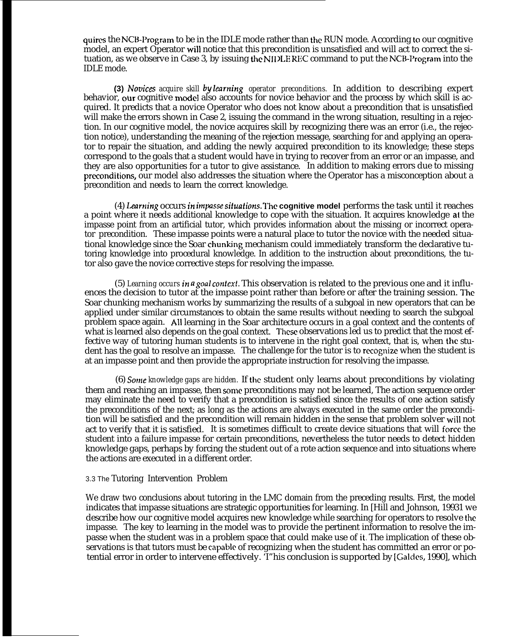quires the NCB-Program to be in the IDLE mode rather than the RUN mode. According to our cognitive model, an expert Operator will notice that this precondition is unsatisfied and will act to correct the situation, as we observe in Case 3, by issuing the NII ILE REC command to put the NCB-I'rogram into the IDLE mode.

**(3) Novices** *acquire skill by learning operator preconditions.* In addition to describing expert behavior, our cognitive model also accounts for novice behavior and the process by which skill is acquired. It predicts that a novice Operator who does not know about a precondition that is unsatisfied will make the errors shown in Case 2, issuing the command in the wrong situation, resulting in a rejection. In our cognitive model, the novice acquires skill by recognizing there was an error (i.e., the rejection notice), understanding the meaning of the rejection message, searching for and applying an operator to repair the situation, and adding the newly acquired precondition to its knowledge; these steps correspond to the goals that a student would have in trying to recover from an error or an impasse, and they are also opportunities for a tutor to give assistance. In addition to making errors due to missing preconditions, our model also addresses the situation where the Operator has a misconception about a precondition and needs to learn the correct knowledge.

(4) Learning occurs in impasse situations. The **cognitive model** performs the task until it reaches a point where it needs additional knowledge to cope with the situation. It acquires knowledge at the impasse point from an artificial tutor, which provides information about the missing or incorrect operator precondition. These impasse points were a natural place to tutor the novice with the needed situational knowledge since the Soar chunking mechanism could immediately transform the declarative tutoring knowledge into procedural knowledge. In addition to the instruction about preconditions, the tutor also gave the novice corrective steps for resolving the impasse.

(5) *Learning occurs in a goal contcrf.* This observation is related to the previous one and it influences the decision to tutor at the impasse point rather than before or after the training session. The Soar chunking mechanism works by summarizing the results of a subgoal in new operators that can be applied under similar circumstances to obtain the same results without needing to search the subgoal problem space again. All learning in the Soar architecture occurs in a goal context and the contents of what is learned also depends on the goal context. These observations led us to predict that the most effective way of tutoring human students is to intervene in the right goal context, that is, when the student has the goal to resolve an impasse. The challenge for the tutor is to recognize when the student is at an impasse point and then provide the appropriate instruction for resolving the impasse.

(6) Sovle *knowledge gaps are hidden.* If the student only learns about preconditions by violating them and reaching an impasse, then some preconditions may not be learned, The action sequence order may eliminate the need to verify that a precondition is satisfied since the results of one action satisfy the preconditions of the next; as long as the actions are always executed in the same order the precondition will be satisfied and the precondition will remain hidden in the sense that problem solver will not act to verify that it is satisfied. It is sometimes difficult to create device situations that will force the student into a failure impasse for certain preconditions, nevertheless the tutor needs to detect hidden knowledge gaps, perhaps by forcing the student out of a rote action sequence and into situations where the actions are executed in a different order.

#### 3.3 The Tutoring Intervention Problem

We draw two conclusions about tutoring in the LMC domain from the preceding results. First, the model indicates that impasse situations are strategic opportunities for learning. In [Hill and Johnson, 19931 we describe how our cognitive model acquires new knowledge while searching for operators to resolve the impasse. The key to learning in the model was to provide the pertinent information to resolve the impasse when the student was in a problem space that could make use of it, The implication of these observations is that tutors must be capable of recognizing when the student has committed an error or potential error in order to intervene effectively. 'I"his conclusion is supported by [Galdcs, 1990], which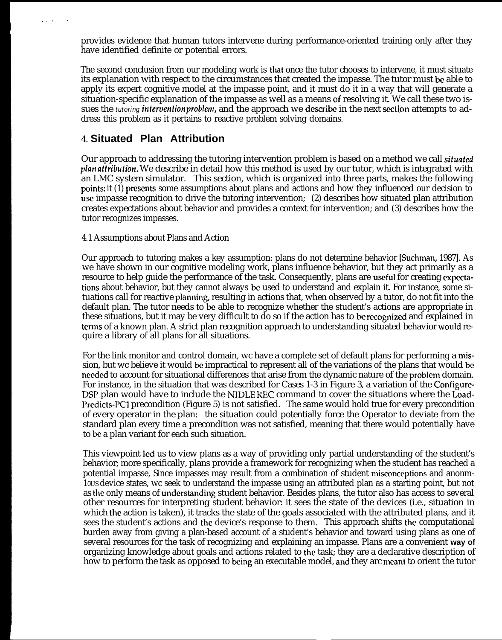provides evidence that human tutors intervene during performance-oriented training only after they have identified definite or potential errors.

The second conclusion from our modeling work is that once the tutor chooses to intervene, it must situate its explanation with respect to the circumstances that created the impasse. The tutor must be able to apply its expert cognitive model at the impasse point, and it must do it in a way that will generate a situation-specific explanation of the impasse as well as a means of resolving it. We call these two issues the *tutoring intervention problem*, and the approach we describe in the next section attempts to address this problem as it pertains to reactive problem solving domains.

## 4. **Situated Plan Attribution**

..!.

Our approach to addressing the tutoring intervention problem is based on a method we call *situated plan affribufion.* We describe in detail how this method is used by our tutor, which is integrated with an LMC system simulator. This section, which is organized into three parts, makes the following points: it (1) presents some assumptions about plans and actions and how they influenced our decision to use impasse recognition to drive the tutoring intervention; (2) describes how situated plan attribution creates expectations about behavior and provides a context for intervention; and (3) describes how the tutor recognizes impasses.

### 4.1 Assumptions about Plans and Action

Our approach to tutoring makes a key assumption: plans do not determine behavior [Suchman, 1987]. As we have shown in our cognitive modeling work, plans influence behavior, but they act primarily as a resource to help guide the performance of the task. Consequently, plans are useful for creating expectations about behavior, but they cannot always & used to understand and explain it. For instance, some situations call for reactive planning, resulting in actions that, when observed by a tutor, do not fit into the default plan. The tutor needs to be able to recognize whether the student's actions are appropriate in these situations, but it may be very difficult to  $\overline{d}$  os if the action has to be recognized and explained in terms of a known plan. A strict plan recognition approach to understanding situated behavior would require a library of all plans for all situations.

For the link monitor and control domain, wc have a complete set of default plans for performing a mission, but wc believe it would be impractical to represent all of the variations of the plans that would be needed to account for situational differences that arise from the dynamic nature of the problcm domain. For instance, in the situation that was described for Cases 1-3 in Figure 3, a variation of the Configure-DSI' plan would have to include the NIDLE REC command to cover the situations where the Load-I'rcdicts-PCl precondition (Figure 5) is not satisfied. The same would hold true for every precondition of every operator in the plan: the situation could potentially force the Operator to deviate from the standard plan every time a precondition was not satisfied, meaning that there would potentially have to be a plan variant for each such situation.

This viewpoint led us to view plans as a way of providing only partial understanding of the student's behavior; more specifically, plans provide a framework for recognizing when the student has reached a potential impasse, Since impasses may result from a combination of student rnisconccptions and anonm-10US device states, wc seek to understand the impasse using an attributed plan as a starting point, but not as the only means of understanding student behavior. Besides plans, the tutor also has access to several other resources for interpreting student behavior: it sees the state of the devices (i.e., situation in which the action is taken), it tracks the state of the goals associated with the attributed plans, and it sees the student's actions and the device's response to them. This approach shifts the computational burden away from giving a plan-based account of a student's behavior and toward using plans as one of several resources for the task of recognizing and explaining an impasse. Plans are a convenient **way of** organizing knowledge about goals and actions related to the task; they are a declarative description of how to perform the task as opposed to being an executable model, and they arc meant to orient the tutor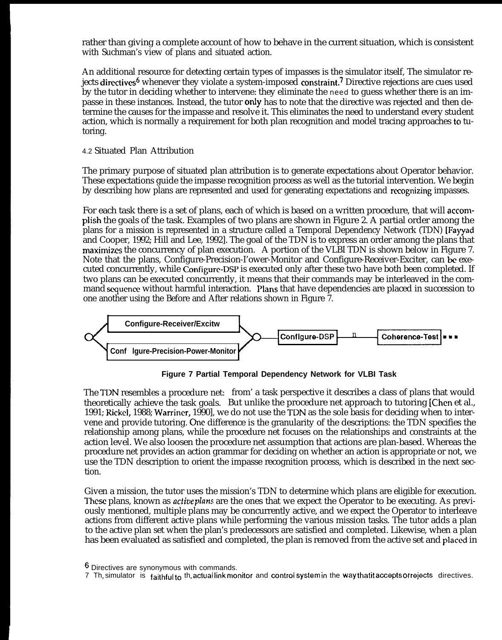rather than giving a complete account of how to behave in the current situation, which is consistent with Suchman's view of plans and situated action.

An additional resource for detecting certain types of impasses is the simulator itself, The simulator rejects directives<sup>6</sup> whenever they violate a system-imposed constraint.<sup>7</sup> Directive rejections are cues used by the tutor in deciding whether to intervene: they eliminate the need to guess whether there is an impasse in these instances. Instead, the tutor only has to note that the directive was rejected and then determine the causes for the impasse and resolve it. This eliminates the need to understand every student action, which is normally a requirement for both plan recognition and model tracing approaches to tutoring.

### 4.2 Situated Plan Attribution

The primary purpose of situated plan attribution is to generate expectations about Operator behavior. These expectations guide the impasse recognition process as well as the tutorial intervention. We begin by describing how plans are represented and used for generating expectations and recognizing impasses.

For each task there is a set of plans, each of which is based on a written procedure, that will accomplish the goals of the task. Examples of two plans are shown in Figure 2. A partial order among the plans for a mission is represented in a structure called a Temporal Dependency Network (TDN) [Fayyad and Cooper, 1992; Hill and Lee, 1992]. The goal of the TDN is to express an order among the plans that maximizes the concurrency of plan execution. A portion of the VLBI TDN is shown below in Figure 7. Note that the plans, Configure-Precision-I'ower-Monitor and Configure-Receiver-Exciter, can & executed concurrently, while Configure-DSP is executed only after these two have both been completed. If two plans can be executed concurrently, it means that their commands may be interleaved in the command sequence without harmful interaction. Plans that have dependencies are placed in succession to one another using the Before and After relations shown in Figure 7.



**Figure 7 Partial Temporal Dependency Network for VLBI Task**

The TDN resembles a procedure net: from' a task perspective it describes a class of plans that would theoretically achieve the task goals. But unlike the procedure net approach to tutoring [Chen et al., 1991; Rickel, 1988; Warriner, 1990], we do not use the TDN as the sole basis for deciding when to intervene and provide tutoring. One difference is the granularity of the descriptions: the TDN specifies the relationship among plans, while the procedure net focuses on the relationships and constraints at the action level. We also loosen the procedure net assumption that actions are plan-based. Whereas the procedure net provides an action grammar for deciding on whether an action is appropriate or not, we use the TDN description to orient the impasse recognition process, which is described in the next section.

Given a mission, the tutor uses the mission's TDN to determine which plans are eligible for execution. I"hese plans, known as *acfive phms* are the ones that we expect the Operator to be executing. As previously mentioned, multiple plans may be concurrently active, and we expect the Operator to interleave actions from different active plans while performing the various mission tasks. The tutor adds a plan to the active plan set when the plan's predecessors are satisfied and completed. Likewise, when a plan has been evaluated as satisfied and completed, the plan is removed from the active set and placed in

<sup>&</sup>lt;sup>6</sup> Directives are synonymous with commands.

<sup>7</sup> Th<sub>e</sub> simulator is faithful to the actual link monitor and control system in the way that it accepts or rejects directives.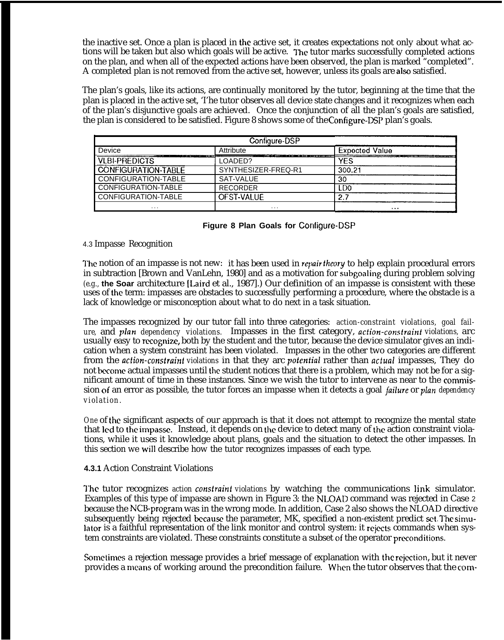the inactive set. Once a plan is placed in the active set, it creates expectations not only about what actions will be taken but also which goals will be active. The tutor marks successfully completed actions on the plan, and when all of the expected actions have been observed, the plan is marked "completed". A completed plan is not removed from the active set, however, unless its goals are also satisfied.

The plan's goals, like its actions, are continually monitored by the tutor, beginning at the time that the plan is placed in the active set, 'I'he tutor observes all device state changes and it recognizes when each of the plan's disjunctive goals are achieved. Once the conjunction of all the plan's goals are satisfied, the plan is considered to be satisfied. Figure 8 shows some of the Configure-DSP plan's goals.

|                            | e plan is considered to be satisfied. Figure 8 shows some of the Configure-DSP plan's goals. | e inactive set. Once a plan is placed in the active set, it creates expectations not only about wha<br>ins will be taken but also which goals will be active. The tutor marks successfully completed act<br>the plan, and when all of the expected actions have been observed, the plan is marked "complet<br>completed plan is not removed from the active set, however, unless its goals are also satisfied.<br>e plan's goals, like its actions, are continually monitored by the tutor, beginning at the time tha<br>an is placed in the active set, 'I'he tutor observes all device state changes and it recognizes when<br>the plan's disjunctive goals are achieved. Once the conjunction of all the plan's goals are satis |
|----------------------------|----------------------------------------------------------------------------------------------|------------------------------------------------------------------------------------------------------------------------------------------------------------------------------------------------------------------------------------------------------------------------------------------------------------------------------------------------------------------------------------------------------------------------------------------------------------------------------------------------------------------------------------------------------------------------------------------------------------------------------------------------------------------------------------------------------------------------------------|
|                            | Configure-DSP                                                                                |                                                                                                                                                                                                                                                                                                                                                                                                                                                                                                                                                                                                                                                                                                                                    |
| Device                     | Attribute                                                                                    | <b>Expected Value</b>                                                                                                                                                                                                                                                                                                                                                                                                                                                                                                                                                                                                                                                                                                              |
| <b>VLBI-PREDICTS</b>       | LOADED?                                                                                      | <b>YES</b>                                                                                                                                                                                                                                                                                                                                                                                                                                                                                                                                                                                                                                                                                                                         |
| <b>CONFIGURATION-TABLE</b> | SYNTHESIZER-FREQ-R1                                                                          | 300.21                                                                                                                                                                                                                                                                                                                                                                                                                                                                                                                                                                                                                                                                                                                             |
| CONFIGURATION-TABLE        | SAT-VALUE                                                                                    | 30                                                                                                                                                                                                                                                                                                                                                                                                                                                                                                                                                                                                                                                                                                                                 |
| CONFIGURATION-TABLE        | <b>RECORDER</b>                                                                              | LD <sub>0</sub>                                                                                                                                                                                                                                                                                                                                                                                                                                                                                                                                                                                                                                                                                                                    |
| CONFIGURATION-TABLE        | OFST-VALUE                                                                                   | 2.7                                                                                                                                                                                                                                                                                                                                                                                                                                                                                                                                                                                                                                                                                                                                |
|                            | $\cdots$                                                                                     | $\cdots$                                                                                                                                                                                                                                                                                                                                                                                                                                                                                                                                                                                                                                                                                                                           |
|                            | Figure 8 Plan Goals for Configure-DSP                                                        |                                                                                                                                                                                                                                                                                                                                                                                                                                                                                                                                                                                                                                                                                                                                    |

### 4.3 Impasse Recognition

The notion of an impasse is not new: it has been used in *repair theory* to help explain procedural errors in subtraction [Brown and VanLehn, 1980] and as a motivation for subgoaling during problem solving *(e.g.,* **the Soar** architecture [Laird et al., 1987].) Our definition of an impasse is consistent with these uses of the term: impasses are obstacles to successfully performing a procedure, where the obstacle is a lack of knowledge or misconception about what to do next in a task situation.

The impasses recognized by our tutor fall into three categories: *action-constraint violations, goal failure,* and plan *dependency violations.* Impasses in the first category, *acfion-consfrairzf violations,* arc usually easy to mcognizc, both by the student and the tutor, because the device simulator gives an indication when a system constraint has been violated. Impasses in the other two categories are different from the *action-consirainf violations* in that they arc *pofenfial* rather than *actual* impasses, They do not bccornc actual impasses until the student notices that there is a problem, which may not be for a significant amount of time in these instances. Since we wish the tutor to intervene as near to the commission of an error as possible, the tutor forces an impasse when it detects a goal *failure* or *plan dependency violation.*

*One* of the significant aspects of our approach is that it does not attempt to recognize the mental state that led to the impasse. Instead, it depends on the device to detect many of the action constraint violations, while it uses it knowledge about plans, goals and the situation to detect the other impasses. In this section we will describe how the tutor recognizes impasses of each type.

### **4.3.1** Action Constraint Violations

I"he tutor recognizes *action consirainf violations* by watching the communications link simulator. Examples of this type of impasse are shown in Figure 3: the NLOAD command was rejected in Case 2 because the NCB-program was in the wrong mode. In addition, Case 2 also shows the NLOAD directive subsequently being rejected because the parameter, MK, specified a non-existent predict set. The simulator is a faithful representation of the link monitor and control system: it rejects commands when system constraints are violated. These constraints constitute a subset of the operator preconditions.

Sometimes a rejection message provides a brief message of explanation with the rejection, but it never provides a means of working around the precondition failure. When the tutor observes that the com-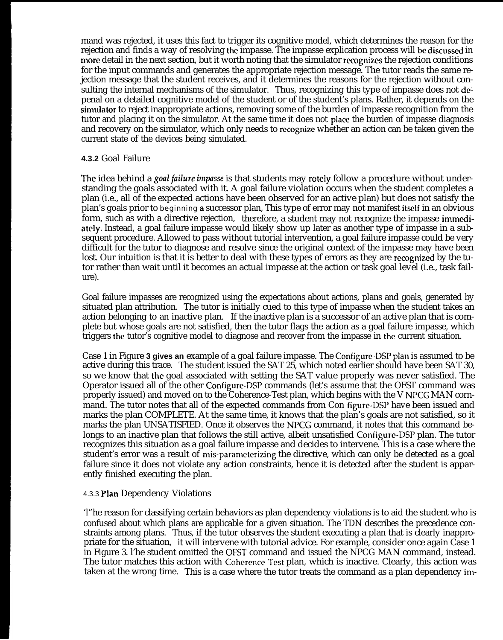mand was rejected, it uses this fact to trigger its cognitive model, which determines the reason for the rejection and finds a way of resolving the impasse. The impasse explication process will be discussed in more detail in the next section, but it worth noting that the simulator recognizes the rejection conditions for the input commands and generates the appropriate rejection message. The tutor reads the same rejection message that the student receives, and it determines the reasons for the rejection without consulting the internal mechanisms of the simulator. Thus, recognizing this type of impasse does not depenal on a detailed cognitive model of the student or of the student's plans. Rather, it depends on the simuiator to reject inappropriate actions, removing some of the burden of impasse recognition from the tutor and placing it on the simulator. At the same time it does not place the burden of impasse diagnosis and recovery on the simulator, which only needs to recognize whether an action can be taken given the current state of the devices being simulated.

### **4.3.2** Goal Failure

The idea behind a *goal failure* impasse is that students may rotely follow a procedure without understanding the goals associated with it. A goal failure violation occurs when the student completes a plan (i.e., all of the expected actions have been observed for an active plan) but does not satisfy the plan's goals prior to beginning a successor plan, This type of error may not manifest itself in an obvious form, such as with a directive rejection, therefore, a student may not recognize the impasse immediately. Instead, a goal failure impasse would likely show up later as another type of impasse in a subsequent procedure. Allowed to pass without tutorial intervention, a goal failure impasse could be very difficult for the tutor to diagnose and resolve since the original context of the impasse may have been lost. Our intuition is that it is better to deal with these types of errors as they are recognized by the tutor rather than wait until it becomes an actual impasse at the action or task goal level (i.e., task failure).

Goal failure impasses are recognized using the expectations about actions, plans and goals, generated by situated plan attribution. The tutor is initially cued to this type of impasse when the student takes an action belonging to an inactive plan. If the inactive plan is a successor of an active plan that is complete but whose goals are not satisfied, then the tutor flags the action as a goal failure impasse, which triggers the tutor's cognitive model to diagnose and recover from the impasse in the current situation.

Case 1 in Figure **3 gives an** example of a goal failure impasse. The Configure-DSp plan is assumed to be active during this trace. The student issued the SAT 25, which noted earlier should have been SAT 30, so we know that the goal associated with setting the SAT value properly was never satisfied. The Operator issued all of the other Configure-DSP commands (let's assume that the OFST command was properly issued) and moved on to the Coherence-Test plan, which begins with the V NI'CG MAN cornmand. The tutor notes that all of the expected commands from Con figure-DSP have been issued and marks the plan COMPLETE. At the same time, it knows that the plan's goals are not satisfied, so it marks the plan UNSATISFIED. Once it observes the NI'CG command, it notes that this command belongs to an inactive plan that follows the still active, albeit unsatisfied Configure-DSP plan. The tutor recognizes this situation as a goal failure impasse and decides to intervene. This is a case where the student's error was a result of mis-parameterizing the directive, which can only be detected as a goal failure since it does not violate any action constraints, hence it is detected after the student is apparently finished executing the plan.

### 4.3.3 Plan Dependency Violations

'l"he reason for classifying certain behaviors as plan dependency violations is to aid the student who is confused about which plans are applicable for a given situation. The TDN describes the precedence constraints among plans. Thus, if the tutor observes the student executing a plan that is clearly inappropriate for the situation, it will intervene with tutorial advice. For example, consider once again Case 1 in Figure 3. l'he student omitted the OFST command and issued the NPCG MAN command, instead. The tutor matches this action with Coherence-1'est plan, which is inactive. Clearly, this action was taken at the wrong time. This is a case where the tutor treats the command as a plan dependency im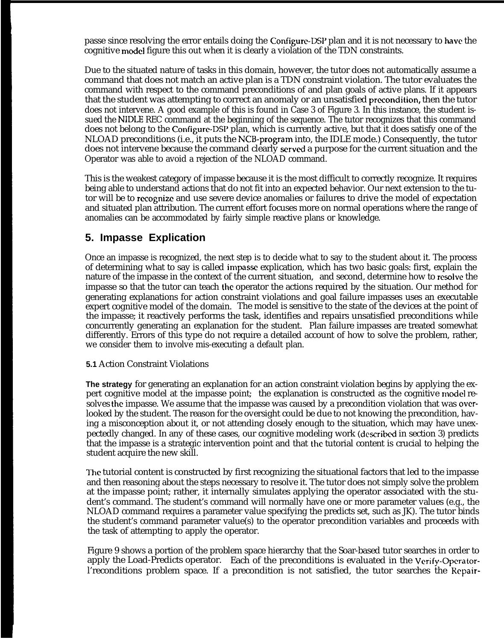passe since resolving the error entails doing the Configure-DSI' plan and it is not necessary to have the cognitive model figure this out when it is clearly a violation of the TDN constraints.

Due to the situated nature of tasks in this domain, however, the tutor does not automatically assume a command that does not match an active plan is a TDN constraint violation. The tutor evaluates the command with respect to the command preconditions of and plan goals of active plans. If it appears that the student was attempting to correct an anomaly or an unsatisfied precondition, then the tutor does not intervene. A good example of this is found in Case 3 of Figure 3. In this instance, the student issued the NIDLE REC command at the beginning of the sequence. The tutor recognizes that this command does not belong to the Configure-DSP plan, which is currently active, but that it does satisfy one of the NLOAD preconditions (i.e., it puts the NCB-program into, the IDLE mode.) Consequently, the tutor does not intervene because the command clearly served a purpose for the current situation and the Operator was able to avoid a rejection of the NLOAD command.

This is the weakest category of impasse because it is the most difficult to correctly recognize. It requires being able to understand actions that do not fit into an expected behavior. Our next extension to the tutor will be to recognize and use severe device anomalies or failures to drive the model of expectation and situated plan attribution. The current effort focuses more on normal operations where the range of anomalies can be accommodated by fairly simple reactive plans or knowledge.

## **5. Impasse Explication**

Once an impasse is recognized, the next step is to decide what to say to the student about it. The process of determining what to say is called impasw explication, which has two basic goals: first, explain the nature of the impasse in the context of the current situation, and second, determine how to resolve the impasse so that the tutor can teach the operator the actions required by the situation. Our method for generating explanations for action constraint violations and goal failure impasses uses an executable expert cognitive model of the domain. The model is sensitive to the state of the devices at the point of the impasse; it reactively performs the task, identifies and repairs unsatisfied preconditions while concurrently generating an explanation for the student. Plan failure impasses are treated somewhat differently. Errors of this type do not require a detailed account of how to solve the problem, rather, we consider them to involve mis-executing a default plan.

### **5.1** Action Constraint Violations

**The strategy** for generating an explanation for an action constraint violation begins by applying the expert cognitive model at the impasse point; the explanation is constructed as the cognitive model resolves the impasse. We assume that the impasse was caused by a precondition violation that was overlooked by the student. The reason for the oversight could be due to not knowing the precondition, having a misconception about it, or not attending closely enough to the situation, which may have unexpectedly changed. In any of these cases, our cognitive modeling work (dexribed in section 3) predicts that the impasse is a strategic intervention point and that the tutorial content is crucial to helping the student acquire the new skill.

The tutorial content is constructed by first recognizing the situational factors that led to the impasse and then reasoning about the steps necessary to resolve it. The tutor does not simply solve the problem at the impasse point; rather, it internally simulates applying the operator associated with the student's command. The student's command will normally have one or more parameter values (e.g., the NLOAD command requires a parameter value specifying the predicts set, such as JK). The tutor binds the student's command parameter value(s) to the operator precondition variables and proceeds with the task of attempting to apply the operator.

Figure 9 shows a portion of the problem space hierarchy that the Soar-based tutor searches in order to apply the Load-Predicts operator. Each of the preconditions is evaluated in the Verify-Operatorl'reconditions problem space. If a precondition is not satisfied, the tutor searches the Repair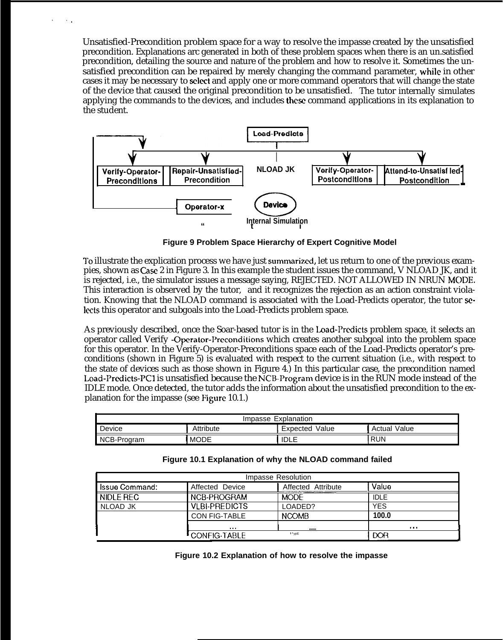Unsatisfied-Precondition problem space for a way to resolve the impasse created by the unsatisfied precondition. Explanations arc generated in both of these problem spaces when there is an un.satisfied precondition, detailing the source and nature of the problem and how to resolve it. Sometimes the unsatisfied precondition can be repaired by merely changing the command parameter, while in other cases it may be necessary to select and apply one or more command operators that will change the state of the device that caused the original precondition to be unsatisfied. The tutor internally simulates applying the commands to the devices, and includes thew command applications in its explanation to the student.

,,.



**Figure 9 Problem Space Hierarchy of Expert Cognitive Model**

To illustrate the explication process we have just summarized, let us return to one of the previous exampies, shown as Ca& 2 in Figure 3. In this example the student issues the command, V NLOAD JK, and it is rejected, i.e., the simulator issues a message saying, REJECTED. NOT ALLOWED IN NRUN MODE. This interaction is observed by the tutor, and it recognizes the rejection as an action constraint violation. Knowing that the NLOAD command is associated with the Load-Predicts operator, the tutor selects this operator and subgoals into the Load-Predicts problem space.

As previously described, once the Soar-based tutor is in the Load-I'redicts problem space, it selects an operator called Verify -Operator-l'reconditions which creates another subgoal into the problem space for this operator. In the Verify-Operator-Preconditions space each of the Load-Predicts operator's preconditions (shown in Figure 5) is evaluated with respect to the current situation (i.e., with respect to the state of devices such as those shown in Figure 4.) In this particular case, the precondition named Load-Predicts-PCl is unsatisfied because the NCB-Program device is in the RUN mode instead of the IDLE mode. Once detected, the tutor adds the information about the unsatisfied precondition to the explanation for the impasse (see Figure 10.1.)

| Explanation<br>Impasse                                              |             |            |  |  |  |  |
|---------------------------------------------------------------------|-------------|------------|--|--|--|--|
| Device<br>Attribute<br><b>Expected Value</b><br><b>Actual Value</b> |             |            |  |  |  |  |
| NCB-Program                                                         | <b>IDLE</b> | <b>RUN</b> |  |  |  |  |

| Impasse Resolution                    |                                                |                    |             |  |  |  |
|---------------------------------------|------------------------------------------------|--------------------|-------------|--|--|--|
| . Issue Command: .                    | Affected Device                                | Affected Attribute | Value       |  |  |  |
| I NIDLE REC                           | NCB-PROGRAM                                    | <b>MODE</b>        | <b>IDLE</b> |  |  |  |
| NLOAD JK                              | <b>VIBLEREDICTS</b>                            | LOADED?            | <b>YES</b>  |  |  |  |
|                                       | <b>CON FIG-TABLE</b>                           | <b>NCOMB</b>       | 100.0       |  |  |  |
|                                       | $\mathbf{a} \cdot \mathbf{a} \cdot \mathbf{a}$ |                    | $\cdots$    |  |  |  |
| $"$ vpE<br><b>DOR</b><br>CONFIG-TABLE |                                                |                    |             |  |  |  |

**Figure 10.1 Explanation of why the NLOAD command failed**

**Figure 10.2 Explanation of how to resolve the impasse**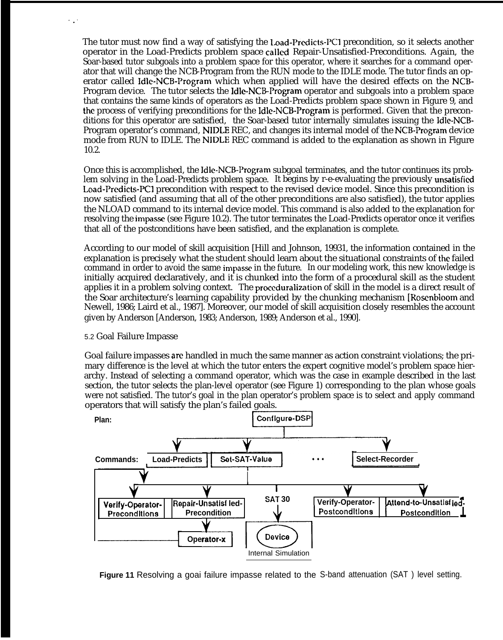The tutor must now find a way of satisfying the Load-Predicts-PCl precondition, so it selects another operator in the Load-Predicts problem space called Repair-Unsatisfied-Preconditions. Again, the Soar-based tutor subgoals into a problem space for this operator, where it searches for a command operator that will change the NCB-Program from the RUN mode to the IDLE mode. The tutor finds an operator called Idle-NCB-Program which when applied will have the desired effects on the NCB-Program device. The tutor selects the Idle-NCB-Program operator and subgoals into a problem space that contains the same kinds of operators as the Load-Predicts problem space shown in Figure 9, and the process of verifying preconditions for the Idle-NCB-Program is performed. Given that the preconditions for this operator are satisfied, the Soar-based tutor internally simulates issuing the Idle-NCB-Program operator's command, NIDLE REC, and changes its internal model of the NCB-Program device mode from RUN to IDLE. The NIDLE REC command is added to the explanation as shown in Figure 10.2.

Once this is accomplished, the Idle-NCB-Program subgoal terminates, and the tutor continues its problem solving in the Load-Predicts problem space. It begins by r-e-evaluating the previously unsatisfied Load-Predicts-PCl precondition with respect to the revised device model. Since this precondition is now satisfied (and assuming that all of the other preconditions are also satisfied), the tutor applies the NLOAD command to its internal device model. This command is also added to the explanation for resolving the impzsse (see Figure 10.2). The tutor terminates the Load-Predicts operator once it verifies that all of the postconditions have been satisfied, and the explanation is complete.

According to our model of skill acquisition [Hill and Johnson, 19931, the information contained in the explanation is precisely what the student should learn about the situational constraints of the failed command in order to avoid the same impasse in the future. In our modeling work, this new knowledge is initially acquired declaratively, and it is chunked into the form of a procedural skill as the student applies it in a problem solving context. The proceduralization of skill in the model is a direct result of the Soar architecture's learning capability provided by the chunking mechanism [Rosenbloom and Newell, 1986; Laird et al., 1987]. Moreover, our model of skill acquisition closely resembles the account given by Anderson [Anderson, 1983; Anderson, 1989; Anderson et al., 1990].

#### 5.2 Goal Failure Impasse

,..

Goal failure impasses arc handled in much the same manner as action constraint violations; the primary difference is the level at which the tutor enters the expert cognitive model's problem space hierarchy. Instead of selecting a command operator, which was the case in example described in the last section, the tutor selects the plan-level operator (see Figure 1) corresponding to the plan whose goals were not satisfied. The tutor's goal in the plan operator's problem space is to select and apply command operators that will satisfy the plan's failed goals. the same mann<br>or enters the expectancy ator (see Figure<br>ator (see Figure<br>n operator's pro<br>goals.<br>**Configure-DSP** 



**Figure 11** Resolving a goai failure impasse related to the S-band attenuation (SAT ) level setting.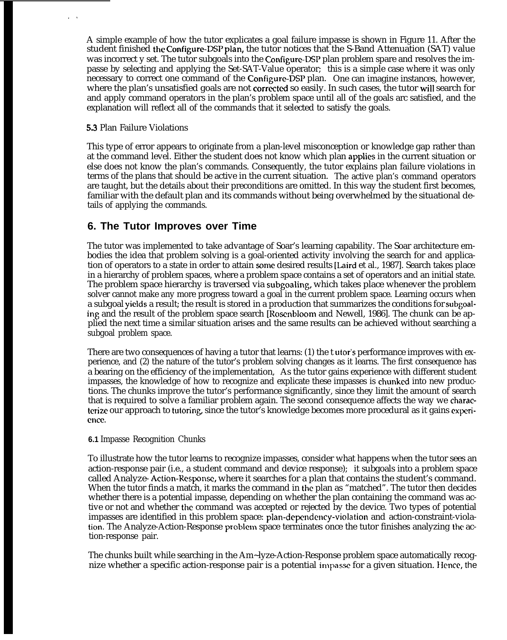A simple example of how the tutor explicates a goal failure impasse is shown in Figure 11. After the student finished the Configure-DSP plan, the tutor notices that the S-Band Attenuation (SAT) value was incorrect y set. The tutor subgoals into the Configure-DSP plan problem spare and resolves the impasse by selecting and applying the Set-SAT-Value operator; this is a simple case where it was only necessary to correct one command of the Configure-DSP plan. One can imagine instances, however, where the plan's unsatisfied goals are not corrected so easily. In such cases, the tutor will search for and apply command operators in the plan's problem space until all of the goals arc satisfied, and the explanation will reflect all of the commands that it selected to satisfy the goals.

#### 53 Plan Failure Violations

,.

This type of error appears to originate from a plan-level misconception or knowledge gap rather than at the command level. Either the student does not know which plan applies in the current situation or else does not know the plan's commands. Consequently, the tutor explains plan failure violations in terms of the plans that should be active in the current situation. The active plan's command operators are taught, but the details about their preconditions are omitted. In this way the student first becomes, familiar with the default plan and its commands without being overwhelmed by the situational details of applying the commands.

### **6. The Tutor Improves over Time**

The tutor was implemented to take advantage of Soar's learning capability. The Soar architecture embodies the idea that problem solving is a goal-oriented activity involving the search for and application of operators to a state in order to attain some desired results [Laird et al., 1987]. Search takes place in a hierarchy of problem spaces, where a problem space contains a set of operators and an initial state. The problem space hierarchy is traversed via subgoaling, which takes place whenever the problem solver cannot make any more progress toward a goal in the current problem space. Learning occurs when a subgoal yields a result; the result is stored in a production that summarizes the conditions for subgoaling and the result of the problem space search [Rosenbloom and Newell, 1986]. The chunk can be applied the next time a similar situation arises and the same results can be achieved without searching a subgoal problem space.

There are two consequences of having a tutor that learns: (1) the t utor's performance improves with experience, and (2) the nature of the tutor's problem solving changes as it learns. The first consequence has a bearing on the efficiency of the implementation, As the tutor gains experience with different student impasses, the knowledge of how to recognize and explicate these impasses is chunked into new productions. The chunks improve the tutor's performance significantly, since they limit the amount of search that is required to solve a familiar problem again. The second consequence affects the way we characterize our approach to tutoring, since the tutor's knowledge becomes more procedural as it gains experience

#### **6.1** Impasse Recognition Chunks

To illustrate how the tutor learns to recognize impasses, consider what happens when the tutor sees an action-response pair (i.e., a student command and device response); it subgoals into a problem space called Analyze- Action-Respmse, where it searches for a plan that contains the student's command. When the tutor finds a match, it marks the command in the plan as "matched". The tutor then decides whether there is a potential impasse, depending on whether the plan containing the command was active or not and whether the command was accepted or rejected by the device. Two types of potential impasses are identified in this problem space: plan-dependency-violation and action-constraint-violation. The Analyze-Action-Response problcm space terminates once the tutor finishes analyzing the action-response pair.

The chunks built while searching in the Am~lyze-Action-Response problem space automatically recognize whether a specific action-response pair is a potential impasse for a given situation. Hence, the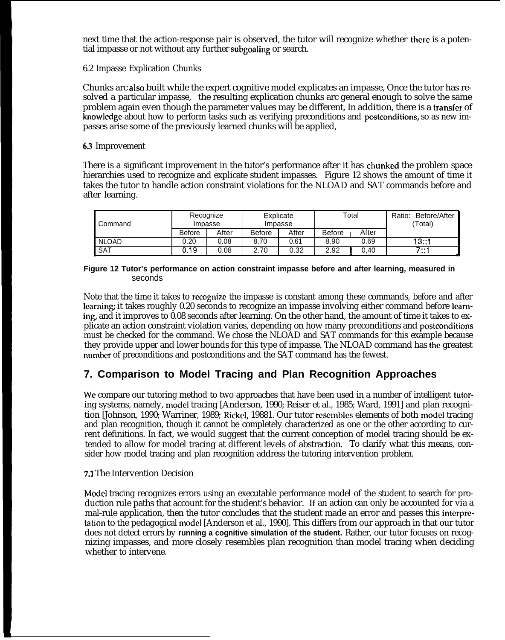next time that the action-response pair is observed, the tutor will recognize whether there is a potential impasse or not without any further subgoaling or search.

6.2 Impasse Explication Chunks

Chunks arc also built while the expert cognitive model explicates an impasse, Once the tutor has resolved a particular impasse, the resulting explication chunks arc general enough to solve the same problem again even though the parameter values may be different, In addition, there is a transfer of knowledge about how to perform tasks such as verifying preconditions and postconditions, so as new impasses arise some of the previously learned chunks will be applied,

### 63 Improvement

There is a significant improvement in the tutor's performance after it has chunked the problem space hierarchies used to recognize and explicate student impasses. Figure 12 shows the amount of time it takes the tutor to handle action constraint violations for the NLOAD and SAT commands before and after learning.

| Command      | Recognize<br>Impasse |       | Explicate<br>Impasse |       | Total         |       | Before/After<br>Ratio:<br>(Total) |
|--------------|----------------------|-------|----------------------|-------|---------------|-------|-----------------------------------|
|              | <b>Before</b>        | After | <b>Before</b>        | After | <b>Before</b> | After |                                   |
| <b>NLOAD</b> | 0.20                 | 0.08  | 8.70                 | 0.61  | 8.90          | 0.69  | 13::1                             |
| . SAT        | 0.19                 | 0.08  | 2.70                 | 0.32  | 2.92          | 0.40  | $7 \cdots$<br>                    |

#### **Figure 12 Tutor's performance on action constraint impasse before and after learning, measured in** seconds

Note that the time it takes to recognize the impasse is constant among these commands, before and after learning; it takes roughly 0.20 seconds to recognize an impasse involving either command before learning, and it improves to 0.08 seconds after learning. On the other hand, the amount of time it takes to explicate an action constraint violation varies, depending on how many preconditions and postconditions must be checked for the command. We chose the NLOAD and SAT commands for this example because they provide upper and lower bounds for this type of impasse. The NLOAD command has the greatest number of preconditions and postconditions and the SAT command has the fewest.

## **7. Comparison to Model Tracing and Plan Recognition Approaches**

We compare our tutoring method to two approaches that have been used in a number of intelligent tutoring systems, namely, model tracing [Anderson, 1990; Reiser et al., 1985; Ward, 1991] and plan recognition [Johnson, 1990; Warriner, 1989; Rickel, 19881. Our tutor resembles elements of both model tracing and plan recognition, though it cannot be completely characterized as one or the other according to current definitions. In fact, we would suggest that the current conception of model tracing should be extended to allow for model tracing at different levels of abstraction. To clarify what this means, consider how model tracing and plan recognition address the tutoring intervention problem.

### 7.1 The Intervention Decision

Model tracing recognizes errors using an executable performance model of the student to search for production rule paths that account for the student's behavior. If an action can only be accounted for via a mal-rule application, then the tutor concludes that the student made an error and passes this interpretation to the pedagogical model [Anderson et al., 1990]. This differs from our approach in that our tutor does not detect errors by **running a cognitive simulation of the student.** Rather, our tutor focuses on recognizing impasses, and more closely resembles plan recognition than model tracing when deciding whether to intervene.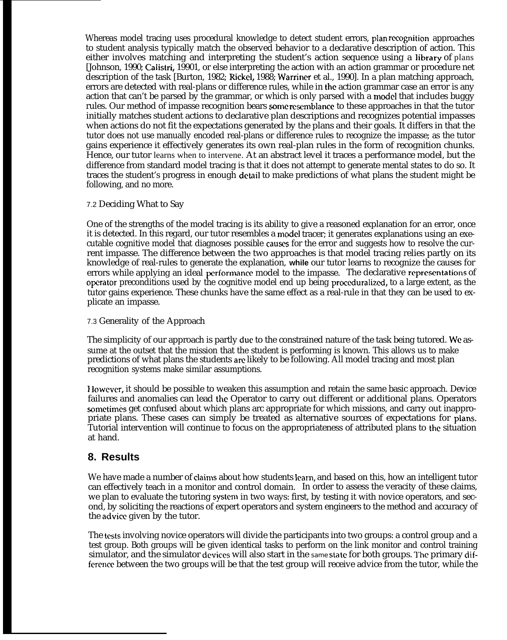Whereas model tracing uses procedural knowledge to detect student errors, plan recognition approaches to student analysis typically match the observed behavior to a declarative description of action. This either involves matching and interpreting the student's action sequence using a library of plans [Johnson, 1990; Calistri, 19901, or else interpreting the action with an action grammar or procedure net description of the task [Burton, 1982; Rickel, 1988; Warriner et al., 1990]. In a plan matching approach, errors are detected with real-plans or difference rules, while in the action grammar case an error is any action that can't be parsed by the grammar, or which is only parsed with a model that includes buggy rules. Our method of impasse recognition bears some resemblance to these approaches in that the tutor initially matches student actions to declarative plan descriptions and recognizes potential impasses when actions do not fit the expectations generated by the plans and their goals. It differs in that the tutor does not use manually encoded real-plans or difference rules to recognize the impasse; as the tutor gains experience it effectively generates its own real-plan rules in the form of recognition chunks. Hence, our tutor learns when to intervene. At an abstract level it traces a performance model, but the difference from standard model tracing is that it does not attempt to generate mental states to do so. It traces the student's progress in enough detail to make predictions of what plans the student might be following, and no more.

### 7.2 Deciding What to Say

One of the strengths of the model tracing is its ability to give a reasoned explanation for an error, once it is detected. In this regard, our tutor resembles a model tracer; it generates explanations using an executable cognitive model that diagnoses possible cauws for the error and suggests how to resolve the current impasse. The difference between the two approaches is that model tracing relies partly on its knowledge of real-rules to generate the explanation, **while** our tutor learns to recognize the causes for errors while applying an ideal performance model to the impasse. The declarative representations of operator preconditions used by the cognitive model end up being proceduralized, to a large extent, as the tutor gains experience. These chunks have the same effect as a real-rule in that they can be used to explicate an impasse.

### 7.3 Generality of the Approach

The simplicity of our approach is partly due to the constrained nature of the task being tutored. We assume at the outset that the mission that the student is performing is known. This allows us to make predictions of what plans the students am likely to be following. All model tracing and most plan recognition systems make similar assumptions.

I lowever, it should be possible to weaken this assumption and retain the same basic approach. Device failures and anomalies can lead the Operator to carry out different or additional plans. Operators sometimes get confused about which plans arc appropriate for which missions, and carry out inappropriate plans. These cases can simply be treated as alternative sources of expectations for plans. Tutorial intervention will continue to focus on the appropriateness of attributed plans to the situation at hand.

## **8. Results**

We have made a number of claims about how students learn, and based on this, how an intelligent tutor can effectively teach in a monitor and control domain. In order to assess the veracity of these claims, we plan to evaluate the tutoring system in two ways: first, by testing it with novice operators, and second, by soliciting the reactions of expert operators and system engineers to the method and accuracy of the advice given by the tutor.

The tests involving novice operators will divide the participants into two groups: a control group and a test group. Both groups will be given identical tasks to perform on the link monitor and control training simulator, and the simulator devices will also start in the same state for both groups. The primary difference between the two groups will be that the test group will receive advice from the tutor, while the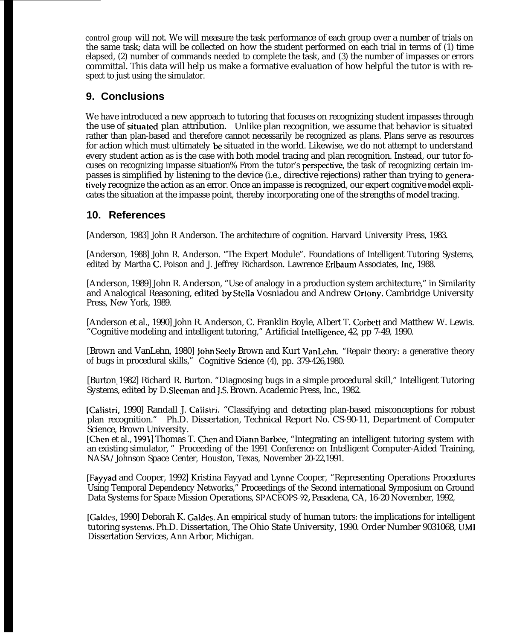control group will not. We will measure the task performance of each group over a number of trials on the same task; data will be collected on how the student performed on each trial in terms of (1) time elapsed, (2) number of commands needed to complete the task, and (3) the number of impasses or errors committal. This data will help us make a formative evaluation of how helpful the tutor is with respect to just using the simulator.

## **9. Conclusions**

We have introduced a new approach to tutoring that focuses on recognizing student impasses through the use of situated plan attribution. Unlike plan recognition, we assume that behavior is situated rather than plan-based and therefore cannot necessarily be recognized as plans. Plans serve as resources for action which must ultimately be situated in the world. Likewise, we do not attempt to understand every student action as is the case with both model tracing and plan recognition. Instead, our tutor focuses on recognizing impasse situation% From the tutor's perspective, the task of recognizing certain impasses is simplified by listening to the device (i.e., directive rejections) rather than trying to generatively recognize the action as an error. Once an impasse is recognized, our expert cognitive model explicates the situation at the impasse point, thereby incorporating one of the strengths of model tracing.

## **10. References**

[Anderson, 1983] John R Anderson. The architecture of cognition. Harvard University Press, 1983.

[Anderson, 1988] John R. Anderson. "The Expert Module". Foundations of Intelligent Tutoring Systems, edited by Martha C. Poison and J. Jeffrey Richardson. Lawrence Erlbaum Associates, Inc, 1988.

[Anderson, 1989] John R. Anderson, "Use of analogy in a production system architecture," in Similarity and Analogical Reasoning, edited by Stella Vosniadou and Andrew Ortony. Cambridge University Press, New York, 1989.

[Anderson et al., 1990] John R. Anderson, C. Franklin Boyle, Albert T. Corbett and Matthew W. Lewis. "Cognitive modeling and intelligent tutoring," Artificial lntclligence, 42, pp 7-49, 1990.

[Brown and VanLehn, 1980] John Seely Brown and Kurt VanLehn. "Repair theory: a generative theory of bugs in procedural skills," Cognitive Science (4), pp. 379-426,1980.

[Burton, 1982] Richard R. Burton. "Diagnosing bugs in a simple procedural skill," Intelligent Tutoring Systems, edited by D. Sleeman and J.S. Brown. Academic Press, Inc., 1982.

[Calistri, 1990] Randall J. Calistri. "Classifying and detecting plan-based misconceptions for robust plan recognition." Ph.D. Dissertation, Technical Report No. CS-90-11, Department of Computer Science, Brown University.

[Chen et al., 1991] Thomas T. Chcn and Diann Barbce, "Integrating an intelligent tutoring system with an existing simulator, " Proceeding of the 1991 Conference on Intelligent Computer-Aided Training, NASA/Johnson Space Center, Houston, Texas, November 20-22,1991.

[Fayyad and Cooper, 1992] Kristina Fayyad and Lynne Cooper, "Representing Operations Procedures Using Temporal Dependency Networks," Proceedings of the Second international Symposium on Ground Data Systems for Space Mission Operations, SPACEOPS-92, Pasadena, CA, 16-20 November, 1992,

[Galdcs, 1990] Deborah K. Galdcs. An empirical study of human tutors: the implications for intelligent tutoring systems. Ph.D. Dissertation, The Ohio State University, 1990. Order Number 9031068, UMI Dissertation Services, Ann Arbor, Michigan.